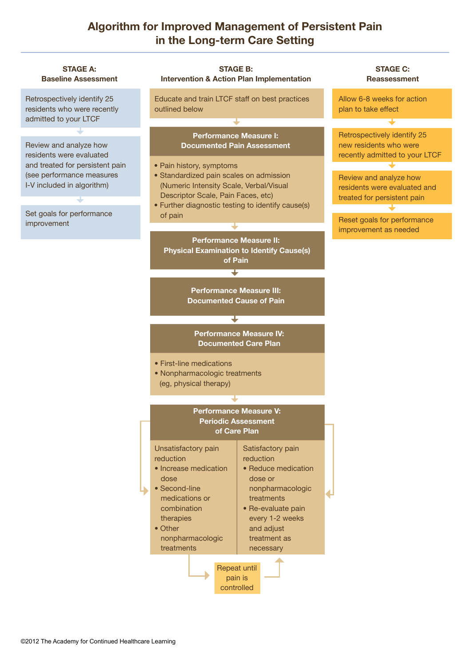## **Algorithm for Improved Management of Persistent Pain in the Long-term Care Setting**

| <b>STAGE A:</b><br><b>Baseline Assessment</b>                                                                                                    | <b>STAGE B:</b><br><b>Intervention &amp; Action Plan Implementation</b>                                                                                                                                                                                                                                                     |                                                                                                                                                                                        | <b>STAGE C:</b><br><b>Reassessment</b>                                                                                                                                           |
|--------------------------------------------------------------------------------------------------------------------------------------------------|-----------------------------------------------------------------------------------------------------------------------------------------------------------------------------------------------------------------------------------------------------------------------------------------------------------------------------|----------------------------------------------------------------------------------------------------------------------------------------------------------------------------------------|----------------------------------------------------------------------------------------------------------------------------------------------------------------------------------|
| Retrospectively identify 25<br>residents who were recently<br>admitted to your LTCF                                                              | Educate and train LTCF staff on best practices<br>outlined below                                                                                                                                                                                                                                                            |                                                                                                                                                                                        | Allow 6-8 weeks for action<br>plan to take effect                                                                                                                                |
|                                                                                                                                                  |                                                                                                                                                                                                                                                                                                                             |                                                                                                                                                                                        |                                                                                                                                                                                  |
| Review and analyze how<br>residents were evaluated<br>and treated for persistent pain<br>(see performance measures<br>I-V included in algorithm) | <b>Performance Measure I:</b><br><b>Documented Pain Assessment</b><br>• Pain history, symptoms<br>• Standardized pain scales on admission<br>(Numeric Intensity Scale, Verbal/Visual<br>Descriptor Scale, Pain Faces, etc)<br>• Further diagnostic testing to identify cause(s)                                             |                                                                                                                                                                                        | Retrospectively identify 25<br>new residents who were<br>recently admitted to your LTCF<br>Review and analyze how<br>residents were evaluated and<br>treated for persistent pain |
|                                                                                                                                                  |                                                                                                                                                                                                                                                                                                                             |                                                                                                                                                                                        |                                                                                                                                                                                  |
| improvement                                                                                                                                      |                                                                                                                                                                                                                                                                                                                             |                                                                                                                                                                                        | Reset goals for performance                                                                                                                                                      |
|                                                                                                                                                  | <b>Performance Measure II:</b><br><b>Physical Examination to Identify Cause(s)</b><br>of Pain<br><b>Performance Measure III:</b><br><b>Documented Cause of Pain</b><br><b>Performance Measure IV:</b><br><b>Documented Care Plan</b><br>• First-line medications<br>• Nonpharmacologic treatments<br>(eg, physical therapy) |                                                                                                                                                                                        | improvement as needed                                                                                                                                                            |
|                                                                                                                                                  |                                                                                                                                                                                                                                                                                                                             |                                                                                                                                                                                        |                                                                                                                                                                                  |
|                                                                                                                                                  |                                                                                                                                                                                                                                                                                                                             |                                                                                                                                                                                        |                                                                                                                                                                                  |
|                                                                                                                                                  |                                                                                                                                                                                                                                                                                                                             |                                                                                                                                                                                        |                                                                                                                                                                                  |
|                                                                                                                                                  |                                                                                                                                                                                                                                                                                                                             |                                                                                                                                                                                        |                                                                                                                                                                                  |
|                                                                                                                                                  |                                                                                                                                                                                                                                                                                                                             |                                                                                                                                                                                        |                                                                                                                                                                                  |
|                                                                                                                                                  | <b>Performance Measure V:</b><br><b>Periodic Assessment</b><br>of Care Plan                                                                                                                                                                                                                                                 |                                                                                                                                                                                        |                                                                                                                                                                                  |
|                                                                                                                                                  | Unsatisfactory pain<br>reduction<br>• Increase medication<br>dose<br>• Second-line<br>medications or<br>combination<br>therapies<br>• Other<br>nonpharmacologic<br>treatments                                                                                                                                               | Satisfactory pain<br>reduction<br>• Reduce medication<br>dose or<br>nonpharmacologic<br>treatments<br>• Re-evaluate pain<br>every 1-2 weeks<br>and adjust<br>treatment as<br>necessary |                                                                                                                                                                                  |
| Repeat until<br>pain is<br>controlled                                                                                                            |                                                                                                                                                                                                                                                                                                                             |                                                                                                                                                                                        |                                                                                                                                                                                  |